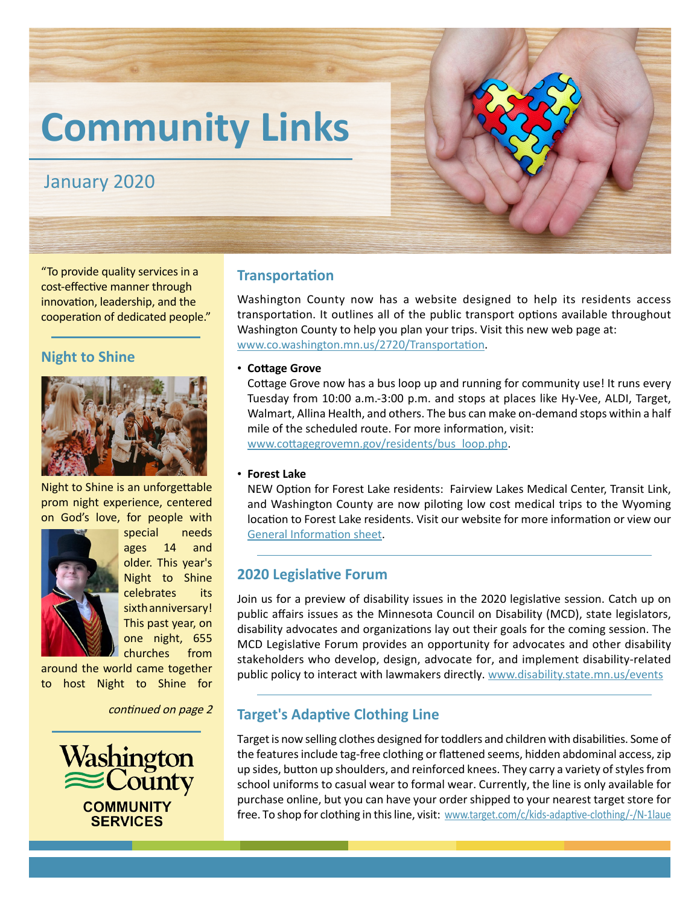# **Community Links**

## January 2020

"To provide quality services in a cost-effective manner through innovation, leadership, and the cooperation of dedicated people."

## **Night to Shine**



Night to Shine is an unforgettable prom night experience, centered on God's love, for people with



special needs ages 14 and older. This year's Night to Shine celebrates its sixth anniversary! This past year, on one night, 655 churches from

around the world came together to host Night to Shine for

continued on page 2



#### **Transportation**

Washington County now has a website designed to help its residents access transportation. It outlines all of the public transport options available throughout Washington County to help you plan your trips. Visit this new web page at: [www.co.washington.mn.us/2720/Transportation](https://www.co.washington.mn.us/2720/Transportation).

• **Cottage Grove**

Cottage Grove now has a bus loop up and running for community use! It runs every Tuesday from 10:00 a.m.-3:00 p.m. and stops at places like Hy-Vee, ALDI, Target, Walmart, Allina Health, and others. The bus can make on-demand stops within a half mile of the scheduled route. For more information, visit: [www.cottagegrovemn.gov/residents/bus\\_loop.php](https://www.cottagegrovemn.gov/residents/bus_loop.php).

#### • **Forest Lake**

NEW Option for Forest Lake residents: Fairview Lakes Medical Center, Transit Link, and Washington County are now piloting low cost medical trips to the Wyoming location to Forest Lake residents. Visit our website for more information or view our [General Information sheet](https://www.co.washington.mn.us/DocumentCenter/View/24760/Fairview-Lakes-Pilot-One-Pager).

## **2020 Legislative Forum**

Join us for a preview of disability issues in the 2020 legislative session. Catch up on public affairs issues as the Minnesota Council on Disability (MCD), state legislators, disability advocates and organizations lay out their goals for the coming session. The MCD Legislative Forum provides an opportunity for advocates and other disability stakeholders who develop, design, advocate for, and implement disability-related public policy to interact with lawmakers directly. [www.disability.state.mn.us/events](https://www.disability.state.mn.us/events/)

## **Target's Adaptive Clothing Line**

Target is now selling clothes designed for toddlers and children with disabilities. Some of the features include tag-free clothing or flattened seems, hidden abdominal access, zip up sides, button up shoulders, and reinforced knees. They carry a variety of styles from school uniforms to casual wear to formal wear. Currently, the line is only available for purchase online, but you can have your order shipped to your nearest target store for free. To shop for clothing in this line, visit: [www.target.com/c/kids-adaptive-clothing/-/N-1laue](https://www.target.com/c/kids-adaptive-clothing/-/N-1laue)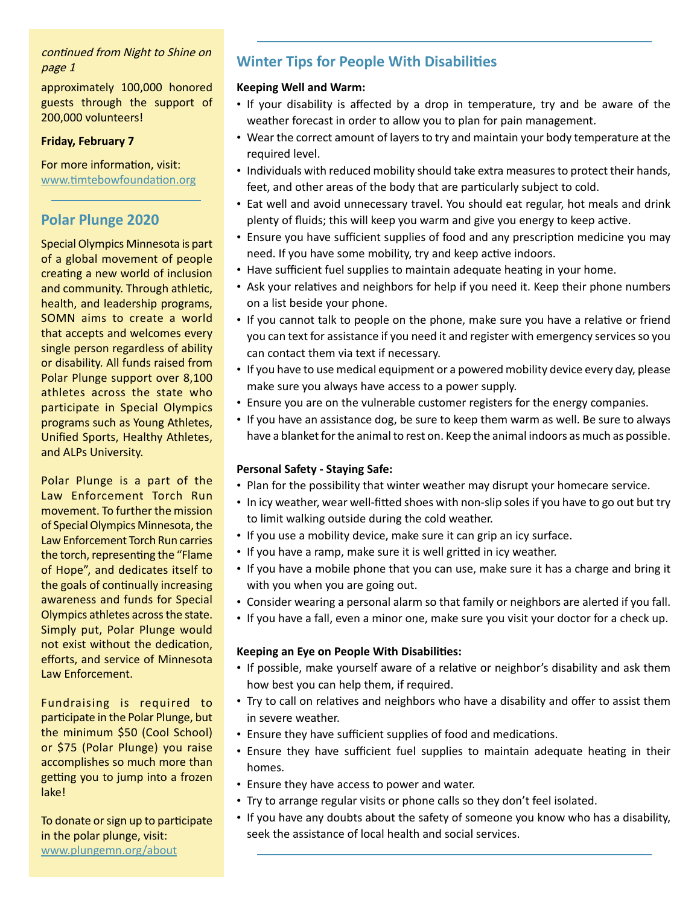## continued from Night to Shine on

approximately 100,000 honored guests through the support of 200,000 volunteers!

#### **Friday, February [7](https://www.valleyfriendshipclub.org/)**

For more information, visit: [www.timtebowfoundation.org](https://www.timtebowfoundation.org/)

#### **Polar Plunge 2020**

Special Olympics Minnesota is part of a global movement of people creating a new world of inclusion and community. Through athletic, health, and leadership programs, SOMN aims to create a world that accepts and welcomes every single person regardless of ability or disability. All funds raised from Polar Plunge support over 8,100 athletes across the state who participate in Special Olympics programs such as Young Athletes, Unified Sports, Healthy Athletes, and ALPs University.

Polar Plunge is a part of the Law Enforcement Torch Run movement. To further the mission of Special Olympics Minnesota, the Law Enforcement Torch Run carries the torch, representing the "Flame of Hope", and dedicates itself to the goals of continually increasing awareness and funds for Special Olympics athletes across the state. Simply put, Polar Plunge would not exist without the dedication, efforts, and service of Minnesota Law Enforcement.

Fundraising is required to participate in the Polar Plunge, but the minimum \$50 (Cool School) or \$75 (Polar Plunge) you raise accomplishes so much more than getting you to jump into a frozen lake!

To donate or sign up to participate in the polar plunge, visit: [www.plungemn.org/about](https://www.plungemn.org/about/)

## page 1 **Winter Tips for People With Disabilities**

#### **Keeping Well and Warm:**

- If your disability is affected by a drop in temperature, try and be aware of the weather forecast in order to allow you to plan for pain management.
- Wear the correct amount of layers to try and maintain your body temperature at the required level.
- Individuals with reduced mobility should take extra measures to protect their hands, feet, and other areas of the body that are particularly subject to cold.
- Eat well and avoid unnecessary travel. You should eat regular, hot meals and drink plenty of fluids; this will keep you warm and give you energy to keep active.
- Ensure you have sufficient supplies of food and any prescription medicine you may need. If you have some mobility, try and keep active indoors.
- Have sufficient fuel supplies to maintain adequate heating in your home.
- Ask your relatives and neighbors for help if you need it. Keep their phone numbers on a list beside your phone.
- If you cannot talk to people on the phone, make sure you have a relative or friend you can text for assistance if you need it and register with emergency services so you can contact them via text if necessary.
- If you have to use medical equipment or a powered mobility device every day, please make sure you always have access to a power supply.
- Ensure you are on the vulnerable customer registers for the energy companies.
- If you have an assistance dog, be sure to keep them warm as well. Be sure to always have a blanket for the animal to rest on. Keep the animal indoors as much as possible.

#### **Personal Safety - Staying Safe:**

- Plan for the possibility that winter weather may disrupt your homecare service.
- In icy weather, wear well-fitted shoes with non-slip soles if you have to go out but try to limit walking outside during the cold weather.
- If you use a mobility device, make sure it can grip an icy surface.
- If you have a ramp, make sure it is well gritted in icy weather.
- If you have a mobile phone that you can use, make sure it has a charge and bring it with you when you are going out.
- Consider wearing a personal alarm so that family or neighbors are alerted if you fall.
- If you have a fall, even a minor one, make sure you visit your doctor for a check up.

#### **Keeping an Eye on People With Disabilities:**

- If possible, make yourself aware of a relative or neighbor's disability and ask them how best you can help them, if required.
- Try to call on relatives and neighbors who have a disability and offer to assist them in severe weather.
- Ensure they have sufficient supplies of food and medications.
- Ensure they have sufficient fuel supplies to maintain adequate heating in their homes.
- Ensure they have access to power and water.
- Try to arrange regular visits or phone calls so they don't feel isolated.
- If you have any doubts about the safety of someone you know who has a disability, seek the assistance of local health and social services.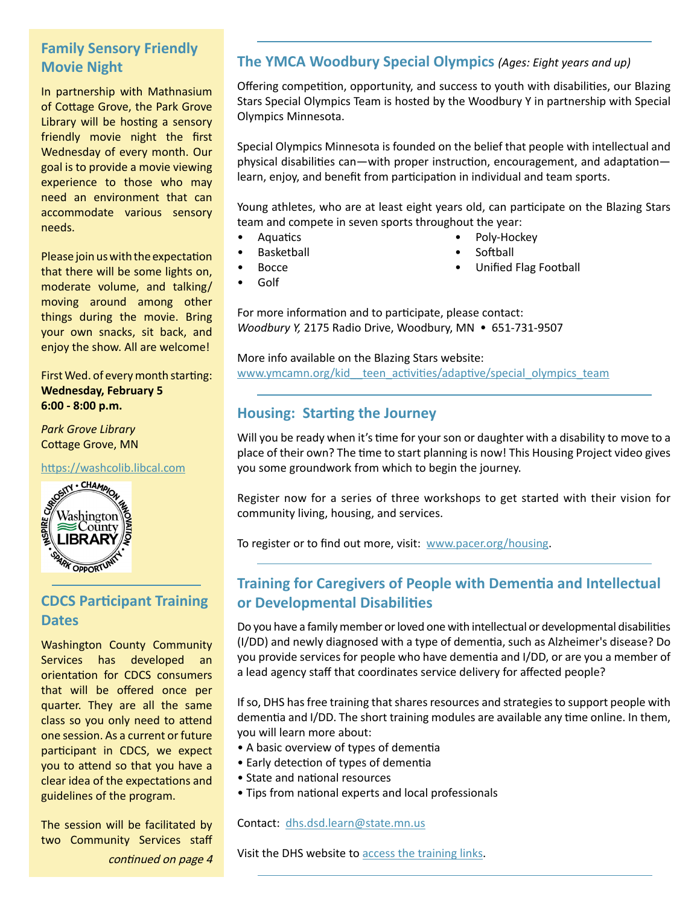## **Family Sensory Friendly Movie Night**

In partnership with Mathnasium of Cottage Grove, the Park Grove Library will be hosting a sensory friendly movie night the first Wednesday of every month. Our goal is to provide a movie viewing experience to those who may need an environment that can accommodate various sensory needs.

Please join us with the expectation that there will be some lights on, moderate volume, and talking/ moving around among other things during the movie. Bring your own snacks, sit back, and enjoy the show. All are welcome!

First Wed. of every month starting: **Wednesday, February 5 6:00 - 8:00 p.m.**

*Park Grove Library* Cottage Grove, MN

[https://washcolib.libcal.com](https://washcolib.libcal.com/)



## **CDCS Participant Training Dates**

Washington County Community Services has developed an orientation for CDCS consumers that will be offered once per quarter. They are all the same class so you only need to attend one session. As a current or future participant in CDCS, we expect you to attend so that you have a clear idea of the expectations and guidelines of the program.

The session will be facilitated by two Community Services staff continued on page 4

## **The YMCA Woodbury Special Olympics** *(Ages: Eight years and up)*

Offering competition, opportunity, and success to youth with disabilities, our Blazing Stars Special Olympics Team is hosted by the Woodbury Y in partnership with Special Olympics Minnesota.

Special Olympics Minnesota is founded on the belief that people with intellectual and physical disabilities can—with proper instruction, encouragement, and adaptation learn, enjoy, and benefit from participation in individual and team sports.

Young athletes, who are at least eight years old, can participate on the Blazing Stars team and compete in seven sports throughout the year:

- Aquatics
- **Basketball**
- Bocce
- Golf
- Poly-Hockey **Softball**
- Unified Flag Football

For more information and to participate, please contact: *Woodbury Y, 2175 Radio Drive, Woodbury, MN • 651-731-9507* 

More info available on the Blazing Stars website: www.ymcamn.org/kid teen activities/adaptive/special olympics team

## **Housing: Starting the Journey**

Will you be ready when it's time for your son or daughter with a disability to move to a place of their own? The time to start planning is now! This Housing Project video gives you some groundwork from which to begin the journey.

Register now for a series of three workshops to get started with their vision for community living, housing, and services.

To register or to find out more, visit: [www.pacer.org/housing.](https://www.pacer.org/housing/)

## **Training for Caregivers of People with Dementia and Intellectual or Developmental Disabilities**

Do you have a family member or loved one with intellectual or developmental disabilities (I/DD) and newly diagnosed with a type of dementia, such as Alzheimer's disease? Do you provide services for people who have dementia and I/DD, or are you a member of a lead agency staff that coordinates service delivery for affected people?

If so, DHS has free training that shares resources and strategies to support people with dementia and I/DD. The short training modules are available any time online. In them, you will learn more about:

- A basic overview of types of dementia
- Early detection of types of dementia
- State and national resources
- Tips from national experts and local professionals

#### Contact: [dhs.dsd.learn@state.mn.us](mailto:dhs.dsd.learn%40state.mn.us?subject=)

Visit the DHS website to [access the training links](https://www.dhs.state.mn.us/main/idcplg%3FIdcService%3DGET_DYNAMIC_CONVERSION%26RevisionSelectionMethod%3DLatestReleased%26dDocName%3DDHS-315820).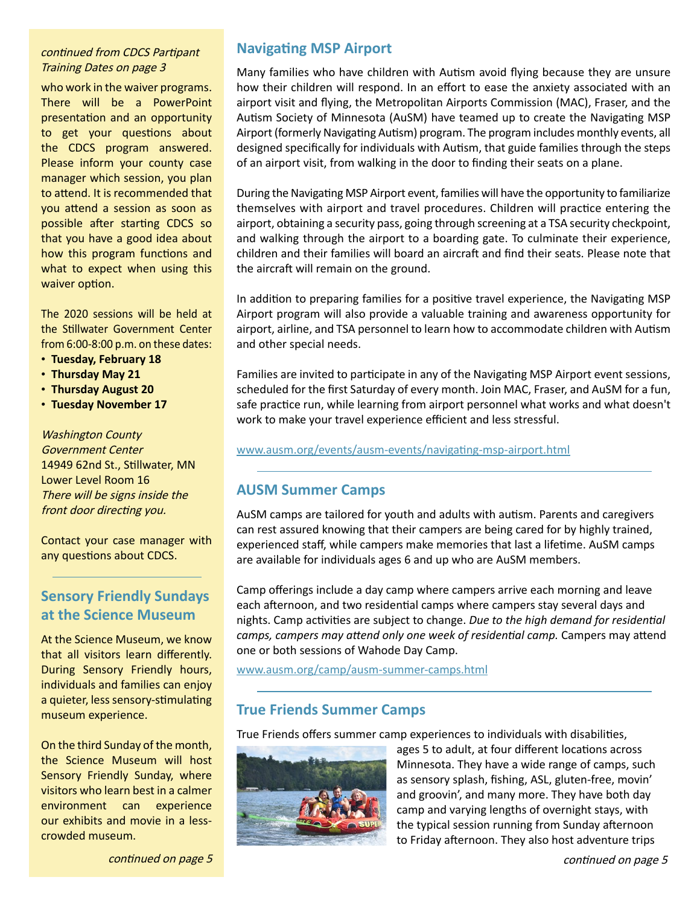#### continued from CDCS Partipant Training Dates on page 3

who work in the waiver programs. There will be a PowerPoint presentation and an opportunity to get your questions about the CDCS program answered. Please inform your county case manager which session, you plan to attend. It is recommended that you attend a session as soon as possible after starting CDCS so that you have a good idea about how this program functions and what to expect when using this waiver option.

The 2020 sessions will be held at the Stillwater Government Center from 6:00-8:00 p.m. on these dates:

- **Tuesday, February 18**
- **Thursday May 21**
- **Thursday August 20**
- **Tuesday November 17**

Washington County Government Center 14949 62nd St., Stillwater, MN Lower Level Room 16 There will be signs inside the front door directing you.

Contact your case manager with any questions about CDCS.

## **Sensory Friendly Sundays at the Science Museum**

At the Science Museum, we know that all visitors learn differently. During Sensory Friendly hours, individuals and families can enjoy a quieter, less sensory-stimulating museum experience.

On the third Sunday of the month, the Science Museum will host Sensory Friendly Sunday, where visitors who learn best in a calmer environment can experience our exhibits and movie in a lesscrowded museum.

## **Navigating MSP Airport**

Many families who have children with Autism avoid flying because they are unsure how their children will respond. In an effort to ease the anxiety associated with an airport visit and flying, the Metropolitan Airports Commission (MAC), Fraser, and the Autism Society of Minnesota (AuSM) have teamed up to create the Navigating MSP Airport (formerly Navigating Autism) program. The program includes monthly events, all designed specifically for individuals with Autism, that guide families through the steps of an airport visit, from walking in the door to finding their seats on a plane.

During the Navigating MSP Airport event, families will have the opportunity to familiarize themselves with airport and travel procedures. Children will practice entering the airport, obtaining a security pass, going through screening at a TSA security checkpoint, and walking through the airport to a boarding gate. To culminate their experience, children and their families will board an aircraft and find their seats. Please note that the aircraft will remain on the ground.

In addition to preparing families for a positive travel experience, the Navigating MSP Airport program will also provide a valuable training and awareness opportunity for airport, airline, and TSA personnel to learn how to accommodate children with Autism and other special needs.

Families are invited to participate in any of the Navigating MSP Airport event sessions, scheduled for the first Saturday of every month. Join MAC, Fraser, and AuSM for a fun, safe practice run, while learning from airport personnel what works and what doesn't work to make your travel experience efficient and less stressful.

[www.ausm.org/events/ausm-events/navigating-msp-airport.html](https://www.ausm.org/events/ausm-events/navigating-msp-airport.html)

## **AUSM Summer Camps**

AuSM camps are tailored for youth and adults with autism. Parents and caregivers can rest assured knowing that their campers are being cared for by highly trained, experienced staff, while campers make memories that last a lifetime. AuSM camps are available for individuals ages 6 and up who are AuSM members.

Camp offerings include a day camp where campers arrive each morning and leave each afternoon, and two residential camps where campers stay several days and nights. Camp activities are subject to change. *Due to the high demand for residential camps, campers may attend only one week of residential camp.* Campers may attend one or both sessions of Wahode Day Camp.

www.ausm.org/camp/ausm-summer-camps.html

## **True Friends Summer Camps**

True Friends offers summer camp experiences to individuals with disabilities,



ages 5 to adult, at four different locations across Minnesota. They have a wide range of camps, such as sensory splash, fishing, ASL, gluten-free, movin' and groovin', and many more. They have both day camp and varying lengths of overnight stays, with the typical session running from Sunday afternoon to Friday afternoon. They also host adventure trips